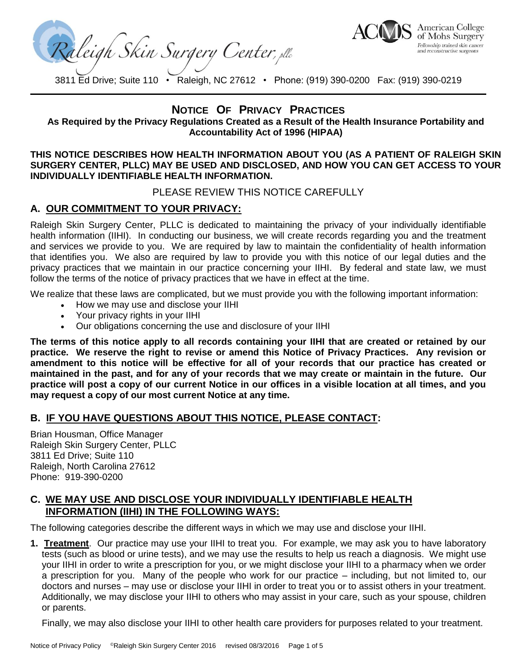Raleigh Skin Surgery Center, plc



## **NOTICE OF PRIVACY PRACTICES**

**As Required by the Privacy Regulations Created as a Result of the Health Insurance Portability and Accountability Act of 1996 (HIPAA)**

#### **THIS NOTICE DESCRIBES HOW HEALTH INFORMATION ABOUT YOU (AS A PATIENT OF RALEIGH SKIN SURGERY CENTER, PLLC) MAY BE USED AND DISCLOSED, AND HOW YOU CAN GET ACCESS TO YOUR INDIVIDUALLY IDENTIFIABLE HEALTH INFORMATION.**

PLEASE REVIEW THIS NOTICE CAREFULLY

# **A. OUR COMMITMENT TO YOUR PRIVACY:**

Raleigh Skin Surgery Center, PLLC is dedicated to maintaining the privacy of your individually identifiable health information (IIHI). In conducting our business, we will create records regarding you and the treatment and services we provide to you. We are required by law to maintain the confidentiality of health information that identifies you. We also are required by law to provide you with this notice of our legal duties and the privacy practices that we maintain in our practice concerning your IIHI. By federal and state law, we must follow the terms of the notice of privacy practices that we have in effect at the time.

We realize that these laws are complicated, but we must provide you with the following important information:

- How we may use and disclose your IIHI
- Your privacy rights in your IIHI
- Our obligations concerning the use and disclosure of your IIHI

**The terms of this notice apply to all records containing your IIHI that are created or retained by our practice. We reserve the right to revise or amend this Notice of Privacy Practices. Any revision or amendment to this notice will be effective for all of your records that our practice has created or maintained in the past, and for any of your records that we may create or maintain in the future. Our practice will post a copy of our current Notice in our offices in a visible location at all times, and you may request a copy of our most current Notice at any time.**

### **B. IF YOU HAVE QUESTIONS ABOUT THIS NOTICE, PLEASE CONTACT:**

Brian Housman, Office Manager Raleigh Skin Surgery Center, PLLC 3811 Ed Drive; Suite 110 Raleigh, North Carolina 27612 Phone: 919-390-0200

#### **C. WE MAY USE AND DISCLOSE YOUR INDIVIDUALLY IDENTIFIABLE HEALTH INFORMATION (IIHI) IN THE FOLLOWING WAYS:**

The following categories describe the different ways in which we may use and disclose your IIHI.

**1. Treatment**. Our practice may use your IIHI to treat you. For example, we may ask you to have laboratory tests (such as blood or urine tests), and we may use the results to help us reach a diagnosis. We might use your IIHI in order to write a prescription for you, or we might disclose your IIHI to a pharmacy when we order a prescription for you. Many of the people who work for our practice – including, but not limited to, our doctors and nurses – may use or disclose your IIHI in order to treat you or to assist others in your treatment. Additionally, we may disclose your IIHI to others who may assist in your care, such as your spouse, children or parents.

Finally, we may also disclose your IIHI to other health care providers for purposes related to your treatment.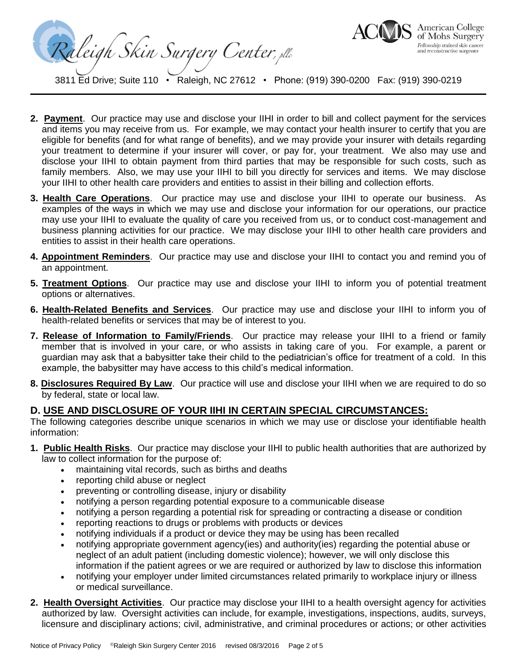Raleigh Skin Surgery Center, plc



- **2. Payment**. Our practice may use and disclose your IIHI in order to bill and collect payment for the services and items you may receive from us. For example, we may contact your health insurer to certify that you are eligible for benefits (and for what range of benefits), and we may provide your insurer with details regarding your treatment to determine if your insurer will cover, or pay for, your treatment. We also may use and disclose your IIHI to obtain payment from third parties that may be responsible for such costs, such as family members. Also, we may use your IIHI to bill you directly for services and items. We may disclose your IIHI to other health care providers and entities to assist in their billing and collection efforts.
- **3. Health Care Operations**. Our practice may use and disclose your IIHI to operate our business. As examples of the ways in which we may use and disclose your information for our operations, our practice may use your IIHI to evaluate the quality of care you received from us, or to conduct cost-management and business planning activities for our practice. We may disclose your IIHI to other health care providers and entities to assist in their health care operations.
- **4. Appointment Reminders**. Our practice may use and disclose your IIHI to contact you and remind you of an appointment.
- **5. Treatment Options**. Our practice may use and disclose your IIHI to inform you of potential treatment options or alternatives.
- **6. Health-Related Benefits and Services**. Our practice may use and disclose your IIHI to inform you of health-related benefits or services that may be of interest to you.
- **7. Release of Information to Family/Friends**. Our practice may release your IIHI to a friend or family member that is involved in your care, or who assists in taking care of you. For example, a parent or guardian may ask that a babysitter take their child to the pediatrician's office for treatment of a cold. In this example, the babysitter may have access to this child's medical information.
- **8. Disclosures Required By Law**. Our practice will use and disclose your IIHI when we are required to do so by federal, state or local law.

### **D. USE AND DISCLOSURE OF YOUR IIHI IN CERTAIN SPECIAL CIRCUMSTANCES:**

The following categories describe unique scenarios in which we may use or disclose your identifiable health information:

- **1. Public Health Risks**. Our practice may disclose your IIHI to public health authorities that are authorized by law to collect information for the purpose of:
	- maintaining vital records, such as births and deaths
	- reporting child abuse or neglect
	- preventing or controlling disease, injury or disability
	- notifying a person regarding potential exposure to a communicable disease
	- notifying a person regarding a potential risk for spreading or contracting a disease or condition
	- reporting reactions to drugs or problems with products or devices
	- notifying individuals if a product or device they may be using has been recalled
	- notifying appropriate government agency(ies) and authority(ies) regarding the potential abuse or neglect of an adult patient (including domestic violence); however, we will only disclose this information if the patient agrees or we are required or authorized by law to disclose this information
	- notifying your employer under limited circumstances related primarily to workplace injury or illness or medical surveillance.
- **2. Health Oversight Activities**. Our practice may disclose your IIHI to a health oversight agency for activities authorized by law. Oversight activities can include, for example, investigations, inspections, audits, surveys, licensure and disciplinary actions; civil, administrative, and criminal procedures or actions; or other activities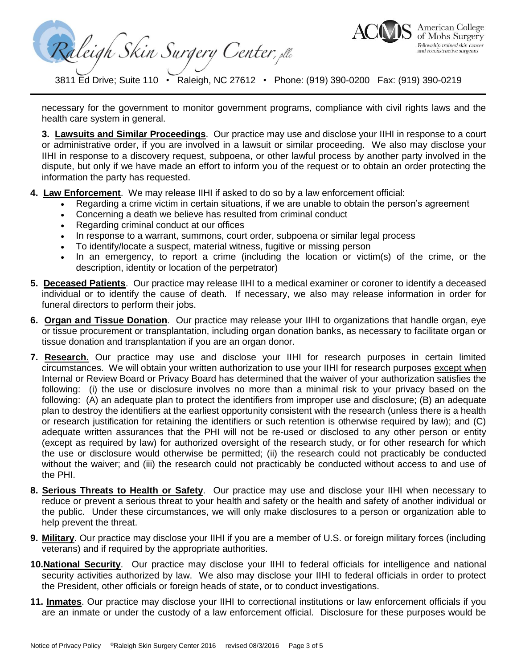Raleigh Skin Surgery Center, elle



necessary for the government to monitor government programs, compliance with civil rights laws and the health care system in general.

**3. Lawsuits and Similar Proceedings**. Our practice may use and disclose your IIHI in response to a court or administrative order, if you are involved in a lawsuit or similar proceeding. We also may disclose your IIHI in response to a discovery request, subpoena, or other lawful process by another party involved in the dispute, but only if we have made an effort to inform you of the request or to obtain an order protecting the information the party has requested.

- **4. Law Enforcement**. We may release IIHI if asked to do so by a law enforcement official:
	- Regarding a crime victim in certain situations, if we are unable to obtain the person's agreement
	- Concerning a death we believe has resulted from criminal conduct
	- Regarding criminal conduct at our offices
	- In response to a warrant, summons, court order, subpoena or similar legal process
	- To identify/locate a suspect, material witness, fugitive or missing person
	- In an emergency, to report a crime (including the location or victim(s) of the crime, or the description, identity or location of the perpetrator)
- **5. Deceased Patients**. Our practice may release IIHI to a medical examiner or coroner to identify a deceased individual or to identify the cause of death. If necessary, we also may release information in order for funeral directors to perform their jobs.
- **6. Organ and Tissue Donation**. Our practice may release your IIHI to organizations that handle organ, eye or tissue procurement or transplantation, including organ donation banks, as necessary to facilitate organ or tissue donation and transplantation if you are an organ donor.
- **7. Research.** Our practice may use and disclose your IIHI for research purposes in certain limited circumstances. We will obtain your written authorization to use your IIHI for research purposes except when Internal or Review Board or Privacy Board has determined that the waiver of your authorization satisfies the following: (i) the use or disclosure involves no more than a minimal risk to your privacy based on the following: (A) an adequate plan to protect the identifiers from improper use and disclosure; (B) an adequate plan to destroy the identifiers at the earliest opportunity consistent with the research (unless there is a health or research justification for retaining the identifiers or such retention is otherwise required by law); and (C) adequate written assurances that the PHI will not be re-used or disclosed to any other person or entity (except as required by law) for authorized oversight of the research study, or for other research for which the use or disclosure would otherwise be permitted; (ii) the research could not practicably be conducted without the waiver; and (iii) the research could not practicably be conducted without access to and use of the PHI.
- **8. Serious Threats to Health or Safety**. Our practice may use and disclose your IIHI when necessary to reduce or prevent a serious threat to your health and safety or the health and safety of another individual or the public. Under these circumstances, we will only make disclosures to a person or organization able to help prevent the threat.
- **9. Military**. Our practice may disclose your IIHI if you are a member of U.S. or foreign military forces (including veterans) and if required by the appropriate authorities.
- **10.National Security**. Our practice may disclose your IIHI to federal officials for intelligence and national security activities authorized by law. We also may disclose your IIHI to federal officials in order to protect the President, other officials or foreign heads of state, or to conduct investigations.
- **11. Inmates**. Our practice may disclose your IIHI to correctional institutions or law enforcement officials if you are an inmate or under the custody of a law enforcement official. Disclosure for these purposes would be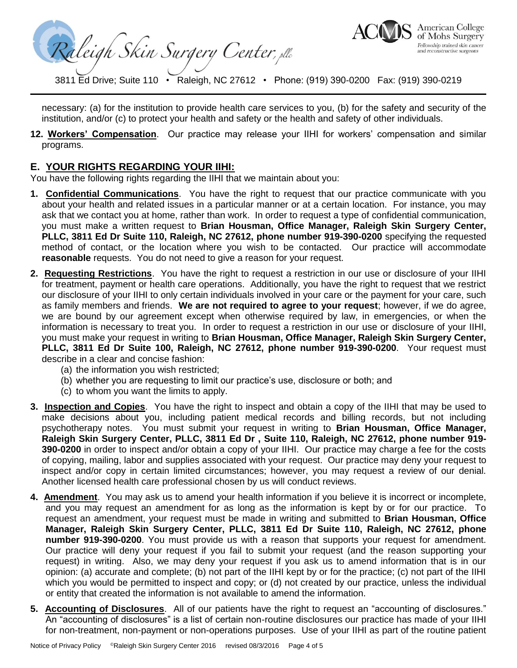Raleigh Skin Surgery Center, elle



necessary: (a) for the institution to provide health care services to you, (b) for the safety and security of the institution, and/or (c) to protect your health and safety or the health and safety of other individuals.

**12. Workers' Compensation**. Our practice may release your IIHI for workers' compensation and similar programs.

#### **E. YOUR RIGHTS REGARDING YOUR IIHI:**

You have the following rights regarding the IIHI that we maintain about you:

- **1. Confidential Communications**. You have the right to request that our practice communicate with you about your health and related issues in a particular manner or at a certain location. For instance, you may ask that we contact you at home, rather than work. In order to request a type of confidential communication, you must make a written request to **Brian Housman, Office Manager, Raleigh Skin Surgery Center, PLLC, 3811 Ed Dr Suite 110, Raleigh, NC 27612, phone number 919-390-0200** specifying the requested method of contact, or the location where you wish to be contacted. Our practice will accommodate **reasonable** requests. You do not need to give a reason for your request.
- **2. Requesting Restrictions**. You have the right to request a restriction in our use or disclosure of your IIHI for treatment, payment or health care operations. Additionally, you have the right to request that we restrict our disclosure of your IIHI to only certain individuals involved in your care or the payment for your care, such as family members and friends. **We are not required to agree to your request**; however, if we do agree, we are bound by our agreement except when otherwise required by law, in emergencies, or when the information is necessary to treat you. In order to request a restriction in our use or disclosure of your IIHI, you must make your request in writing to **Brian Housman, Office Manager, Raleigh Skin Surgery Center, PLLC, 3811 Ed Dr Suite 100, Raleigh, NC 27612, phone number 919-390-0200**. Your request must describe in a clear and concise fashion:
	- (a) the information you wish restricted;
	- (b) whether you are requesting to limit our practice's use, disclosure or both; and
	- (c) to whom you want the limits to apply.
- **3. Inspection and Copies**. You have the right to inspect and obtain a copy of the IIHI that may be used to make decisions about you, including patient medical records and billing records, but not including psychotherapy notes. You must submit your request in writing to **Brian Housman, Office Manager, Raleigh Skin Surgery Center, PLLC, 3811 Ed Dr , Suite 110, Raleigh, NC 27612, phone number 919- 390-0200** in order to inspect and/or obtain a copy of your IIHI. Our practice may charge a fee for the costs of copying, mailing, labor and supplies associated with your request. Our practice may deny your request to inspect and/or copy in certain limited circumstances; however, you may request a review of our denial. Another licensed health care professional chosen by us will conduct reviews.
- **4. Amendment**. You may ask us to amend your health information if you believe it is incorrect or incomplete, and you may request an amendment for as long as the information is kept by or for our practice. To request an amendment, your request must be made in writing and submitted to **Brian Housman, Office Manager, Raleigh Skin Surgery Center, PLLC, 3811 Ed Dr Suite 110, Raleigh, NC 27612, phone number 919-390-0200**. You must provide us with a reason that supports your request for amendment. Our practice will deny your request if you fail to submit your request (and the reason supporting your request) in writing. Also, we may deny your request if you ask us to amend information that is in our opinion: (a) accurate and complete; (b) not part of the IIHI kept by or for the practice; (c) not part of the IIHI which you would be permitted to inspect and copy; or (d) not created by our practice, unless the individual or entity that created the information is not available to amend the information.
- **5. Accounting of Disclosures**. All of our patients have the right to request an "accounting of disclosures." An "accounting of disclosures" is a list of certain non-routine disclosures our practice has made of your IIHI for non-treatment, non-payment or non-operations purposes. Use of your IIHI as part of the routine patient